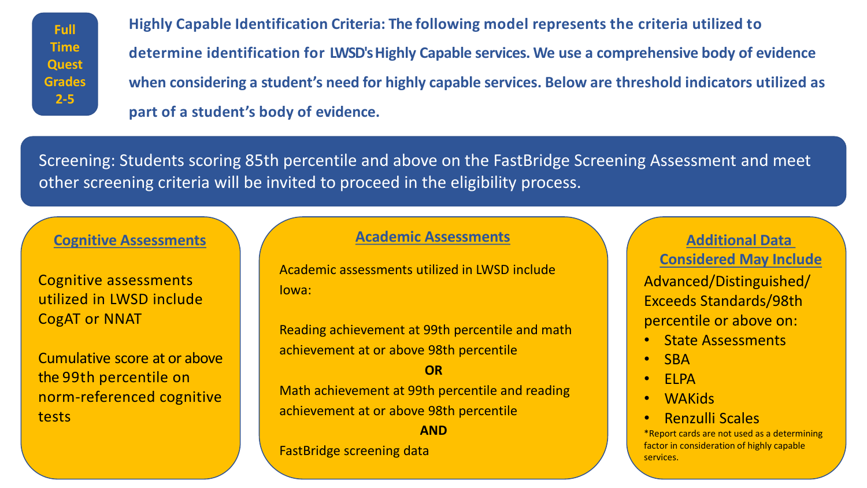**Full Time Quest Grades 2-5** 

 **determine identification for LWSD's Highly Capable services. We use a comprehensive body of evidence when considering a student's need for highly capable services. Below are threshold indicators utilized as part of a student's body of evidence. Highly Capable Identification Criteria: The following model represents the criteria utilized to** 

 Screening: Students scoring 85th percentile and above on the FastBridge Screening Assessment and meet other screening criteria will be invited to proceed in the eligibility process.

# **Cognitive Assessments** Anditional Data **Additional Data Additional Data Additional Data**

 utilized in LWSD include Cognitive assessments CogAT or NNAT

Cumulative score at or above the 99th percentile on norm-referenced cognitive tests

## **Academic Assessments**

 Academic assessments utilized in LWSD include Iowa:

 achievement at or above 98th percentile Reading achievement at 99th percentile and math

#### **OR**

 Math achievement at 99th percentile and reading achievement at or above 98th percentile

**AND**  FastBridge screening data

 percentile or above on: Advanced/Distinguished/ Exceeds Standards/98th **Considered May Include** 

- State Assessments
- SBA
- ELPA
- WAKids
- Renzulli Scales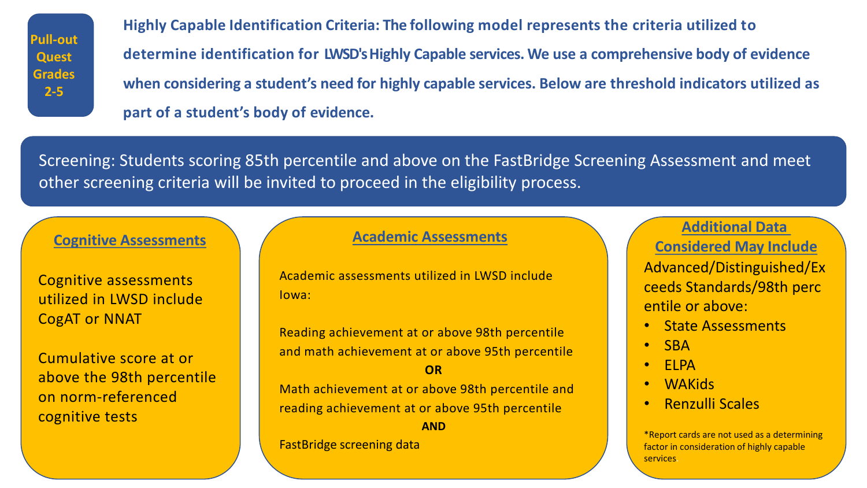**Pull-out Quest Grades 2-5** 

 **determine identification for LWSD's Highly Capable services. We use a comprehensive body of evidence when considering a student's need for highly capable services. Below are threshold indicators utilized as part of a student's body of evidence. Highly Capable Identification Criteria: The following model represents the criteria utilized to** 

 Screening: Students scoring 85th percentile and above on the FastBridge Screening Assessment and meet other screening criteria will be invited to proceed in the eligibility process.

# **Cognitive Assessments**

 utilized in LWSD include Cognitive assessments CogAT or NNAT

Cumulative score at or above the 98th percentile on norm-referenced cognitive tests

Academic assessments utilized in LWSD include Iowa:

Reading achievement at or above 98th percentile and math achievement at or above 95th percentile

### **OR**

Math achievement at or above 98th percentile and reading achievement at or above 95th percentile

**AND** 

FastBridge screening data

Advanced/Distinguished/Ex ceeds Standards/98th perc entile or above: **Additional Data Academic Assessments Considered May Include** 

- State Assessments
- SBA
- ELPA
- WAKids
- Renzulli Scales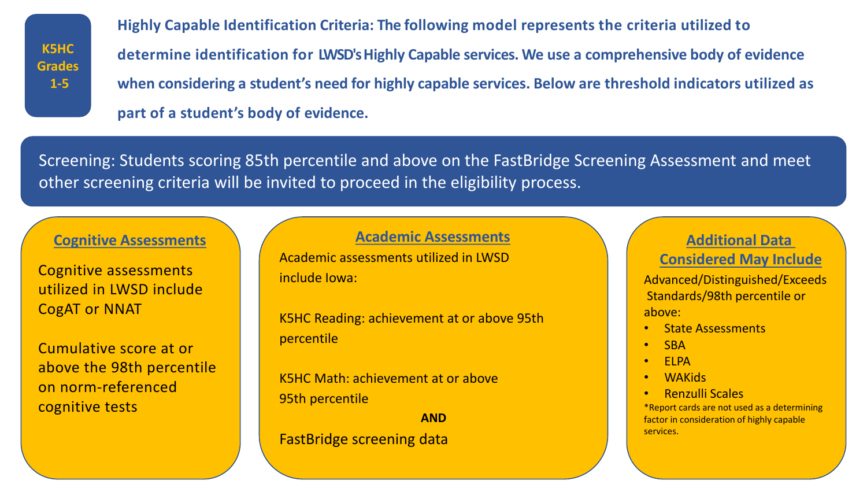**K5HC Grades 1-5** 

 **determine identification for LWSD's Highly Capable services. We use a comprehensive body of evidence when considering a student's need for highly capable services. Below are threshold indicators utilized as part of a student's body of evidence. Highly Capable Identification Criteria: The following model represents the criteria utilized to** 

 Screening: Students scoring 85th percentile and above on the FastBridge Screening Assessment and meet other screening criteria will be invited to proceed in the eligibility process.

 utilized in LWSD include Cognitive assessments CogAT or NNAT

Cumulative score at or above the 98th percentile on norm-referenced cognitive tests

**Cognitive Assessments** Anditional Data **Additional Data Additional Data Additional Data Academic Assessments** 

> Academic assessments utilized in LWSD include Iowa:

 K5HC Reading: achievement at or above 95th percentile

 K5HC Math: achievement at or above 95th percentile

**AND**  FastBridge screening data

## **Considered May Include**

Advanced/Distinguished/Exceeds Standards/98th percentile or above:

- State Assessments
- SBA
- ELPA
- WAKids
- Renzulli Scales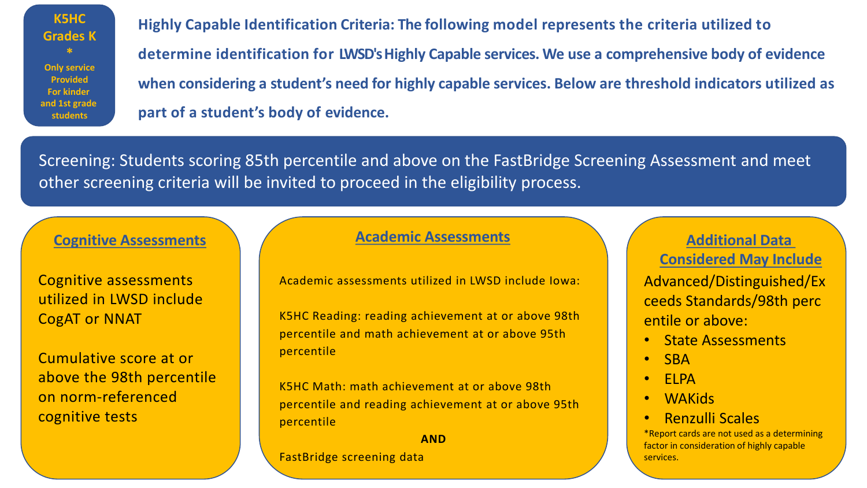**K5HC Grades K \* Only service Provided For kinder and 1st grade students** 

 **determine identification for LWSD's Highly Capable services. We use a comprehensive body of evidence when considering a student's need for highly capable services. Below are threshold indicators utilized as part of a student's body of evidence. Highly Capable Identification Criteria: The following model represents the criteria utilized to** 

 Screening: Students scoring 85th percentile and above on the FastBridge Screening Assessment and meet other screening criteria will be invited to proceed in the eligibility process.

# **Cognitive Assessments** Anditional Data **Additional Data Additional Data Additional Data**

 utilized in LWSD include Cognitive assessments CogAT or NNAT

Cumulative score at or above the 98th percentile on norm-referenced cognitive tests

## **Academic Assessments**

Academic assessments utilized in LWSD include Iowa:

 percentile and math achievement at or above 95th K5HC Reading: reading achievement at or above 98th percentile

K5HC Math: math achievement at or above 98th percentile and reading achievement at or above 95th percentile

**AND** 

FastBridge screening data

Advanced/Distinguished/Ex ceeds Standards/98th perc entile or above: **Considered May Include** 

- State Assessments
- SBA
- ELPA
- WAKids
- Renzulli Scales